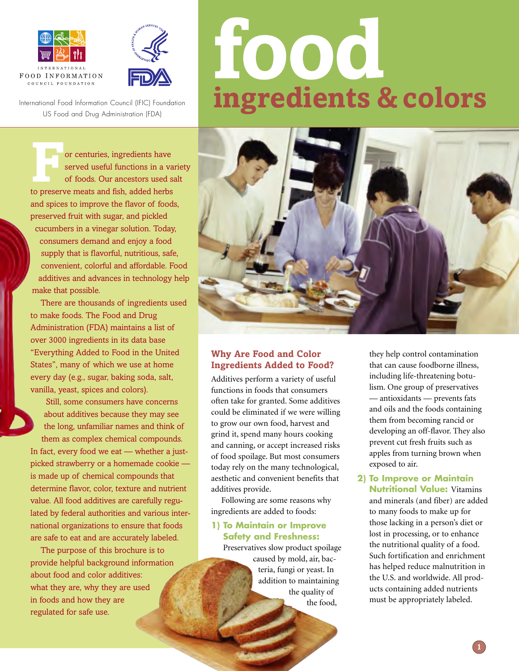



International Food Information Council (IFIC) Foundation US Food and Drug Administration (FDA)

**For centuries, ingredients have**<br>served useful functions in a various of foods. Our ancestors used s<br>to preserve meats and fish, added herbs served useful functions in a variety of foods. Our ancestors used salt and spices to improve the flavor of foods, preserved fruit with sugar, and pickled cucumbers in a vinegar solution. Today, consumers demand and enjoy a food supply that is flavorful, nutritious, safe, convenient, colorful and affordable. Food additives and advances in technology help make that possible.

There are thousands of ingredients used to make foods. The Food and Drug Administration (FDA) maintains a list of over 3000 ingredients in its data base "Everything Added to Food in the United States", many of which we use at home every day (e.g., sugar, baking soda, salt, vanilla, yeast, spices and colors).

Still, some consumers have concerns about additives because they may see the long, unfamiliar names and think of them as complex chemical compounds. In fact, every food we eat — whether a justpicked strawberry or a homemade cookie is made up of chemical compounds that determine flavor, color, texture and nutrient value. All food additives are carefully regulated by federal authorities and various international organizations to ensure that foods are safe to eat and are accurately labeled.

The purpose of this brochure is to provide helpful background information about food and color additives: what they are, why they are used in foods and how they are regulated for safe use.

# **food ingredients &colors**



# **Why Are Food and Color Ingredients Added to Food?**

Additives perform a variety of useful functions in foods that consumers often take for granted. Some additives could be eliminated if we were willing to grow our own food, harvest and grind it, spend many hours cooking and canning, or accept increased risks of food spoilage. But most consumers today rely on the many technological, aesthetic and convenient benefits that additives provide.

Following are some reasons why ingredients are added to foods:

### **1) To Maintain or Improve Safety and Freshness:**

Preservatives slow product spoilage caused by mold, air, bacteria, fungi or yeast. In addition to maintaining the quality of the food,

they help control contamination that can cause foodborne illness, including life-threatening botulism. One group of preservatives — antioxidants — prevents fats and oils and the foods containing them from becoming rancid or developing an off-flavor. They also prevent cut fresh fruits such as apples from turning brown when exposed to air.

**2) To Improve or Maintain Nutritional Value:** Vitamins and minerals (and fiber) are added to many foods to make up for those lacking in a person's diet or lost in processing, or to enhance the nutritional quality of a food. Such fortification and enrichment has helped reduce malnutrition in the U.S. and worldwide. All products containing added nutrients must be appropriately labeled.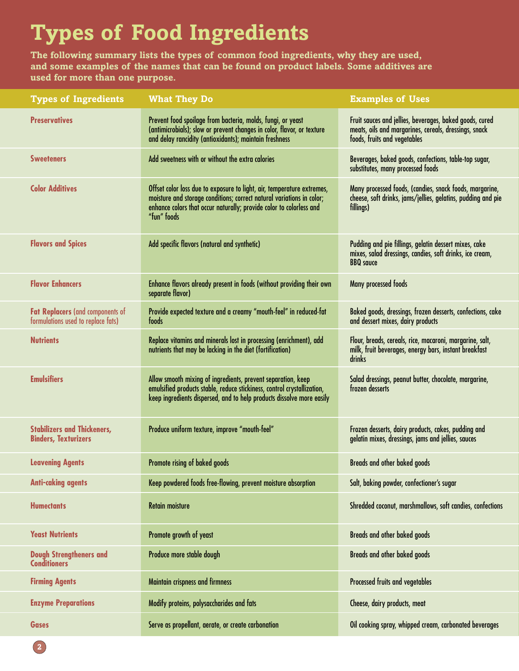# **Types of Food Ingredients**

**The following summary lists the types of common food ingredients, why they are used, and some examples of the names that can be found on product labels. Some additives are used for more than one purpose.**

| <b>Types of Ingredients</b>                                            | <b>What They Do</b>                                                                                                                                                                                                                   | <b>Examples of Uses</b>                                                                                                                          |
|------------------------------------------------------------------------|---------------------------------------------------------------------------------------------------------------------------------------------------------------------------------------------------------------------------------------|--------------------------------------------------------------------------------------------------------------------------------------------------|
| <b>Preservatives</b>                                                   | Prevent food spoilage from bacteria, molds, fungi, or yeast<br>(antimicrobials); slow or prevent changes in color, flavor, or texture<br>and delay rancidity (antioxidants); maintain freshness                                       | Fruit sauces and jellies, beverages, baked goods, cured<br>meats, oils and margarines, cereals, dressings, snack<br>foods, fruits and vegetables |
| <b>Sweeteners</b>                                                      | Add sweetness with or without the extra calories                                                                                                                                                                                      | Beverages, baked goods, confections, table-top sugar,<br>substitutes, many processed foods                                                       |
| <b>Color Additives</b>                                                 | Offset color loss due to exposure to light, air, temperature extremes,<br>moisture and storage conditions; correct natural variations in color;<br>enhance colors that occur naturally; provide color to colorless and<br>"fun" foods | Many processed foods, (candies, snack foods, margarine,<br>cheese, soft drinks, jams/jellies, gelatins, pudding and pie<br>fillings)             |
| <b>Flavors and Spices</b>                                              | Add specific flavors (natural and synthetic)                                                                                                                                                                                          | Pudding and pie fillings, gelatin dessert mixes, cake<br>mixes, salad dressings, candies, soft drinks, ice cream,<br><b>BBQ</b> sauce            |
| <b>Flavor Enhancers</b>                                                | Enhance flavors already present in foods (without providing their own<br>separate flavor)                                                                                                                                             | Many processed foods                                                                                                                             |
| Fat Replacers (and components of<br>formulations used to replace fats) | Provide expected texture and a creamy "mouth-feel" in reduced-fat<br>foods                                                                                                                                                            | Baked goods, dressings, frozen desserts, confections, cake<br>and dessert mixes, dairy products                                                  |
| <b>Nutrients</b>                                                       | Replace vitamins and minerals lost in processing (enrichment), add<br>nutrients that may be lacking in the diet (fortification)                                                                                                       | Flour, breads, cereals, rice, macaroni, margarine, salt,<br>milk, fruit beverages, energy bars, instant breakfast<br>drinks                      |
| <b>Emulsifiers</b>                                                     | Allow smooth mixing of ingredients, prevent separation, keep<br>emulsified products stable, reduce stickiness, control crystallization,<br>keep ingredients dispersed, and to help products dissolve more easily                      | Salad dressings, peanut butter, chocolate, margarine,<br>frozen desserts                                                                         |
| <b>Stabilizers and Thickeners,</b><br><b>Binders, Texturizers</b>      | Produce uniform texture, improve "mouth-feel"                                                                                                                                                                                         | Frozen desserts, dairy products, cakes, pudding and<br>gelatin mixes, dressings, jams and jellies, sauces                                        |
| <b>Leavening Agents</b>                                                | Promote rising of baked goods                                                                                                                                                                                                         | <b>Breads and other baked goods</b>                                                                                                              |
| <b>Anti-caking agents</b>                                              | Keep powdered foods free-flowing, prevent moisture absorption                                                                                                                                                                         | Salt, baking powder, confectioner's sugar                                                                                                        |
| <b>Humectants</b>                                                      | <b>Retain moisture</b>                                                                                                                                                                                                                | Shredded coconut, marshmallows, soft candies, confections                                                                                        |
| <b>Yeast Nutrients</b>                                                 | Promote growth of yeast                                                                                                                                                                                                               | <b>Breads and other baked goods</b>                                                                                                              |
| <b>Dough Strengtheners and</b><br><b>Conditioners</b>                  | Produce more stable dough                                                                                                                                                                                                             | Breads and other baked goods                                                                                                                     |
| <b>Firming Agents</b>                                                  | Maintain crispness and firmness                                                                                                                                                                                                       | <b>Processed fruits and vegetables</b>                                                                                                           |
| <b>Enzyme Preparations</b>                                             | Modify proteins, polysaccharides and fats                                                                                                                                                                                             | Cheese, dairy products, meat                                                                                                                     |
| <b>Gases</b>                                                           | Serve as propellant, aerate, or create carbonation                                                                                                                                                                                    | Oil cooking spray, whipped cream, carbonated beverages                                                                                           |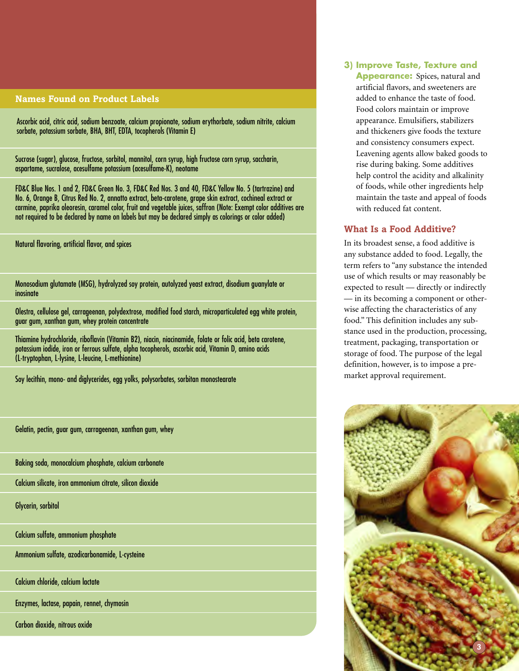#### **Names Found on Product Labels**

Ascorbic acid, citric acid, sodium benzoate, calcium propionate, sodium erythorbate, sodium nitrite, calcium sorbate, potassium sorbate, BHA, BHT, EDTA, tocopherols (Vitamin E)

Sucrose (sugar), glucose, fructose, sorbitol, mannitol, corn syrup, high fructose corn syrup, saccharin, aspartame, sucralose, acesulfame potassium (acesulfame-K), neotame

FD&C Blue Nos. 1 and 2, FD&C Green No. 3, FD&C Red Nos. 3 and 40, FD&C Yellow No. 5 (tartrazine) and No. 6, Orange B, Citrus Red No. 2, annatto extract, beta-carotene, grape skin extract, cochineal extract or carmine, paprika oleoresin, caramel color, fruit and vegetable juices, saffron (Note: Exempt color additives are not required to be declared by name on labels but may be declared simply as colorings or color added)

Natural flavoring, artificial flavor, and spices

Monosodium glutamate (MSG), hydrolyzed soy protein, autolyzed yeast extract, disodium guanylate or inosinate

Olestra, cellulose gel, carrageenan, polydextrose, modified food starch, microparticulated egg white protein, guar gum, xanthan gum, whey protein concentrate

Thiamine hydrochloride, riboflavin (Vitamin B2), niacin, niacinamide, folate or folic acid, beta carotene, potassium iodide, iron or ferrous sulfate, alpha tocopherols, ascorbic acid, Vitamin D, amino acids (L-tryptophan, L-lysine, L-leucine, L-methionine)

Soy lecithin, mono- and diglycerides, egg yolks, polysorbates, sorbitan monostearate measurement market approval requirement.

Gelatin, pectin, guar gum, carrageenan, xanthan gum, whey

Baking soda, monocalcium phosphate, calcium carbonate

Calcium silicate, iron ammonium citrate, silicon dioxide

Glycerin, sorbitol

Calcium sulfate, ammonium phosphate

Ammonium sulfate, azodicarbonamide, L-cysteine

Calcium chloride, calcium lactate

Enzymes, lactase, papain, rennet, chymosin

Carbon dioxide, nitrous oxide

# **3) Improve Taste, Texture and**

**Appearance:** Spices, natural and artificial flavors, and sweeteners are added to enhance the taste of food. Food colors maintain or improve appearance. Emulsifiers, stabilizers and thickeners give foods the texture and consistency consumers expect. Leavening agents allow baked goods to rise during baking. Some additives help control the acidity and alkalinity of foods, while other ingredients help maintain the taste and appeal of foods with reduced fat content.

# **What Is a Food Additive?**

In its broadest sense, a food additive is any substance added to food. Legally, the term refers to "any substance the intended use of which results or may reasonably be expected to result — directly or indirectly — in its becoming a component or otherwise affecting the characteristics of any food." This definition includes any substance used in the production, processing, treatment, packaging, transportation or storage of food. The purpose of the legal definition, however, is to impose a pre-

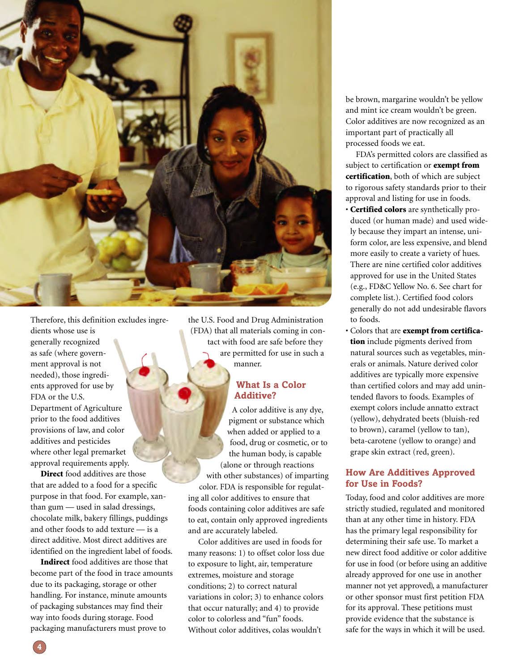

Therefore, this definition excludes ingredients whose use is generally recognized as safe (where government approval is not needed), those ingredients approved for use by FDA or the U.S. Department of Agriculture prior to the food additives provisions of law, and color additives and pesticides where other legal premarket approval requirements apply.

**Direct** food additives are those that are added to a food for a specific purpose in that food. For example, xanthan gum — used in salad dressings, chocolate milk, bakery fillings, puddings and other foods to add texture — is a direct additive. Most direct additives are identified on the ingredient label of foods.

**Indirect** food additives are those that become part of the food in trace amounts due to its packaging, storage or other handling. For instance, minute amounts of packaging substances may find their way into foods during storage. Food packaging manufacturers must prove to

the U.S. Food and Drug Administration (FDA) that all materials coming in contact with food are safe before they are permitted for use in such a manner.

# **What Is a Color Additive?**

A color additive is any dye, pigment or substance which when added or applied to a food, drug or cosmetic, or to the human body, is capable (alone or through reactions with other substances) of imparting color. FDA is responsible for regulating all color additives to ensure that foods containing color additives are safe to eat, contain only approved ingredients and are accurately labeled.

Color additives are used in foods for many reasons: 1) to offset color loss due to exposure to light, air, temperature extremes, moisture and storage conditions; 2) to correct natural variations in color; 3) to enhance colors that occur naturally; and 4) to provide color to colorless and "fun" foods. Without color additives, colas wouldn't

be brown, margarine wouldn't be yellow and mint ice cream wouldn't be green. Color additives are now recognized as an important part of practically all processed foods we eat.

FDA's permitted colors are classified as subject to certification or **exempt from certification**, both of which are subject to rigorous safety standards prior to their approval and listing for use in foods.

- **Certified colors** are synthetically produced (or human made) and used widely because they impart an intense, uniform color, are less expensive, and blend more easily to create a variety of hues. There are nine certified color additives approved for use in the United States (e.g., FD&C Yellow No. 6. See chart for complete list.). Certified food colors generally do not add undesirable flavors to foods.
- Colors that are **exempt from certification** include pigments derived from natural sources such as vegetables, minerals or animals. Nature derived color additives are typically more expensive than certified colors and may add unintended flavors to foods. Examples of exempt colors include annatto extract (yellow), dehydrated beets (bluish-red to brown), caramel (yellow to tan), beta-carotene (yellow to orange) and grape skin extract (red, green).

## **How Are Additives Approved for Use in Foods?**

Today, food and color additives are more strictly studied, regulated and monitored than at any other time in history. FDA has the primary legal responsibility for determining their safe use. To market a new direct food additive or color additive for use in food (or before using an additive already approved for one use in another manner not yet approved), a manufacturer or other sponsor must first petition FDA for its approval. These petitions must provide evidence that the substance is safe for the ways in which it will be used.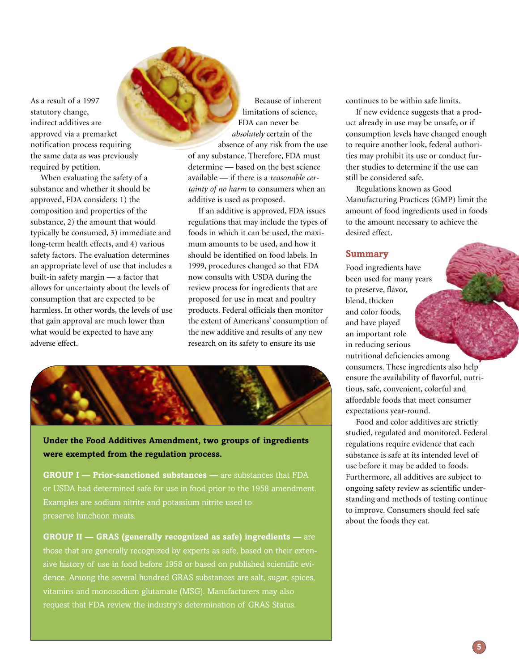As a result of a 1997 statutory change, indirect additives are approved via a premarket notification process requiring the same data as was previously required by petition.

When evaluating the safety of a substance and whether it should be approved, FDA considers: 1) the composition and properties of the substance, 2) the amount that would typically be consumed, 3) immediate and long-term health effects, and 4) various safety factors. The evaluation determines an appropriate level of use that includes a built-in safety margin — a factor that allows for uncertainty about the levels of consumption that are expected to be harmless. In other words, the levels of use that gain approval are much lower than what would be expected to have any adverse effect.

Because of inherent limitations of science, FDA can never be *absolutely* certain of the absence of any risk from the use of any substance. Therefore, FDA must determine — based on the best science available — if there is a *reasonable certainty of no harm* to consumers when an additive is used as proposed.

If an additive is approved, FDA issues regulations that may include the types of foods in which it can be used, the maximum amounts to be used, and how it should be identified on food labels. In 1999, procedures changed so that FDA now consults with USDA during the review process for ingredients that are proposed for use in meat and poultry products. Federal officials then monitor the extent of Americans' consumption of the new additive and results of any new research on its safety to ensure its use



**Under the Food Additives Amendment, two groups of ingredients were exempted from the regulation process.**

**GROUP I — Prior-sanctioned substances —** are substances that FDA or USDA had determined safe for use in food prior to the 1958 amendment. Examples are sodium nitrite and potassium nitrite used to preserve luncheon meats.

**GROUP II — GRAS (generally recognized as safe) ingredients —** are those that are generally recognized by experts as safe, based on their extensive history of use in food before 1958 or based on published scientific evidence. Among the several hundred GRAS substances are salt, sugar, spices, vitamins and monosodium glutamate (MSG). Manufacturers may also request that FDA review the industry's determination of GRAS Status.

continues to be within safe limits.

If new evidence suggests that a product already in use may be unsafe, or if consumption levels have changed enough to require another look, federal authorities may prohibit its use or conduct further studies to determine if the use can still be considered safe.

Regulations known as Good Manufacturing Practices (GMP) limit the amount of food ingredients used in foods to the amount necessary to achieve the desired effect.

#### **Summary**

Food ingredients have been used for many years to preserve, flavor, blend, thicken and color foods, and have played an important role in reducing serious nutritional deficiencies among consumers. These ingredients also help ensure the availability of flavorful, nutritious, safe, convenient, colorful and affordable foods that meet consumer expectations year-round.

Food and color additives are strictly studied, regulated and monitored. Federal regulations require evidence that each substance is safe at its intended level of use before it may be added to foods. Furthermore, all additives are subject to ongoing safety review as scientific understanding and methods of testing continue to improve. Consumers should feel safe about the foods they eat.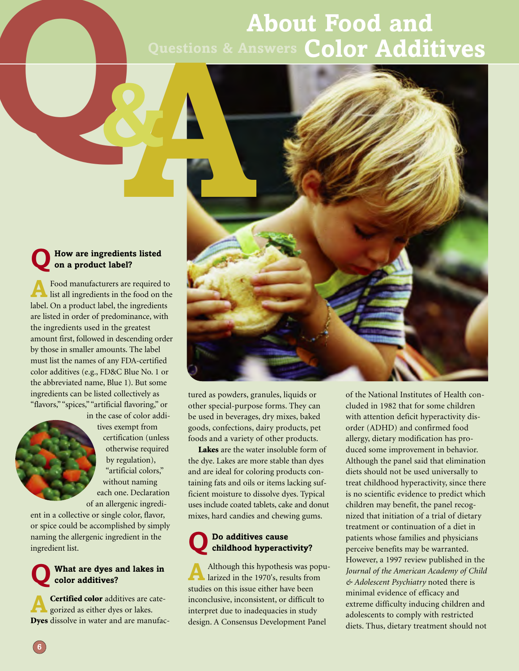# **Questions & Answers Color Additives**

# **QHow are ingredients listed on a product label?**

**&**

**A**Food manufacturers are required to list all ingredients in the food on the label. On a product label, the ingredients are listed in order of predominance, with the ingredients used in the greatest amount first, followed in descending order by those in smaller amounts. The label must list the names of any FDA-certified color additives (e.g., FD&C Blue No. 1 or the abbreviated name, Blue 1). But some ingredients can be listed collectively as "flavors," "spices," "artificial flavoring," or



in the case of color additives exempt from certification (unless otherwise required by regulation), "artificial colors," without naming each one. Declaration of an allergenic ingredi-

ent in a collective or single color, flavor, or spice could be accomplished by simply naming the allergenic ingredient in the ingredient list.

# **Q What are dyes and lakes in color additives?**

**ACertified color** additives are categorized as either dyes or lakes. **Dyes** dissolve in water and are manufac-



tured as powders, granules, liquids or other special-purpose forms. They can be used in beverages, dry mixes, baked goods, confections, dairy products, pet foods and a variety of other products.

**Lakes** are the water insoluble form of the dye. Lakes are more stable than dyes and are ideal for coloring products containing fats and oils or items lacking sufficient moisture to dissolve dyes. Typical uses include coated tablets, cake and donut mixes, hard candies and chewing gums.

# **QDo additives cause childhood hyperactivity?**

**A**Although this hypothesis was popularized in the 1970's, results from studies on this issue either have been inconclusive, inconsistent, or difficult to interpret due to inadequacies in study design. A Consensus Development Panel

of the National Institutes of Health concluded in 1982 that for some children with attention deficit hyperactivity disorder (ADHD) and confirmed food allergy, dietary modification has produced some improvement in behavior. Although the panel said that elimination diets should not be used universally to treat childhood hyperactivity, since there is no scientific evidence to predict which children may benefit, the panel recognized that initiation of a trial of dietary treatment or continuation of a diet in patients whose families and physicians perceive benefits may be warranted. However, a 1997 review published in the *Journal of the American Academy of Child & Adolescent Psychiatry* noted there is minimal evidence of efficacy and extreme difficulty inducing children and adolescents to comply with restricted diets. Thus, dietary treatment should not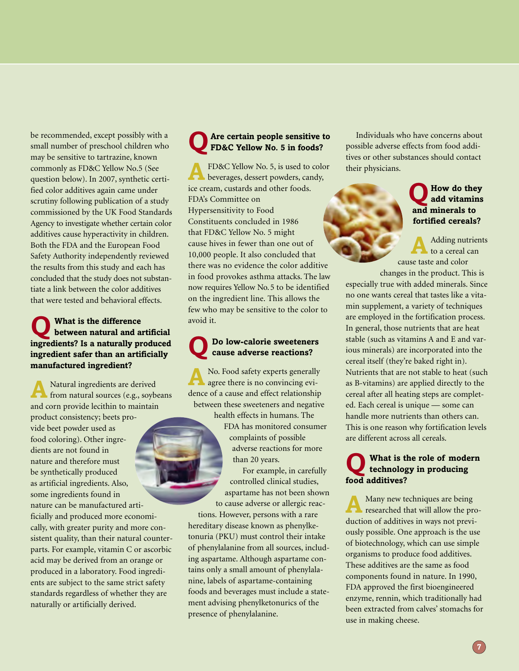be recommended, except possibly with a small number of preschool children who may be sensitive to tartrazine, known commonly as FD&C Yellow No.5 (See question below). In 2007, synthetic certified color additives again came under scrutiny following publication of a study commissioned by the UK Food Standards Agency to investigate whether certain color additives cause hyperactivity in children. Both the FDA and the European Food Safety Authority independently reviewed the results from this study and each has concluded that the study does not substantiate a link between the color additives that were tested and behavioral effects.

# **Q What is the difference between natural and artificial ingredients? Is a naturally produced ingredient safer than an artificially manufactured ingredient?**

**A** Natural ingredients are derived from natural sources (e.g., soybeans and corn provide lecithin to maintain product consistency; beets provide beet powder used as food coloring). Other ingredients are not found in nature and therefore must be synthetically produced as artificial ingredients. Also, some ingredients found in nature can be manufactured artificially and produced more economically, with greater purity and more consistent quality, than their natural counterparts. For example, vitamin C or ascorbic acid may be derived from an orange or produced in a laboratory. Food ingredients are subject to the same strict safety standards regardless of whether they are naturally or artificially derived.

# **QAre certain people sensitive to FD&C Yellow No. 5 in foods?**

**A**FD&C Yellow No. 5, is used to color beverages, dessert powders, candy, ice cream, custards and other foods. FDA's Committee on Hypersensitivity to Food Constituents concluded in 1986 that FD&C Yellow No. 5 might cause hives in fewer than one out of 10,000 people. It also concluded that there was no evidence the color additive in food provokes asthma attacks. The law now requires Yellow No.5 to be identified on the ingredient line. This allows the few who may be sensitive to the color to avoid it.

# **QDo low-calorie sweeteners cause adverse reactions?**

**A** No. Food safety experts generally agree there is no convincing evidence of a cause and effect relationship between these sweeteners and negative

health effects in humans. The FDA has monitored consumer complaints of possible adverse reactions for more than 20 years.

For example, in carefully controlled clinical studies, aspartame has not been shown to cause adverse or allergic reac-

tions. However, persons with a rare hereditary disease known as phenylketonuria (PKU) must control their intake of phenylalanine from all sources, including aspartame. Although aspartame contains only a small amount of phenylalanine, labels of aspartame-containing foods and beverages must include a statement advising phenylketonurics of the presence of phenylalanine.

Individuals who have concerns about possible adverse effects from food additives or other substances should contact their physicians.

# How do they **add vitamins and minerals to fortified cereals?**

**A**Adding nutrients to a cereal can cause taste and color

changes in the product. This is especially true with added minerals. Since no one wants cereal that tastes like a vitamin supplement, a variety of techniques are employed in the fortification process. In general, those nutrients that are heat stable (such as vitamins A and E and various minerals) are incorporated into the cereal itself (they're baked right in). Nutrients that are not stable to heat (such as B-vitamins) are applied directly to the cereal after all heating steps are completed. Each cereal is unique — some can handle more nutrients than others can. This is one reason why fortification levels are different across all cereals.

# **Q What is the role of modern technology in producing food additives?**

**A** Many new techniques are being researched that will allow the production of additives in ways not previously possible. One approach is the use of biotechnology, which can use simple organisms to produce food additives. These additives are the same as food components found in nature. In 1990, FDA approved the first bioengineered enzyme, rennin, which traditionally had been extracted from calves' stomachs for use in making cheese.